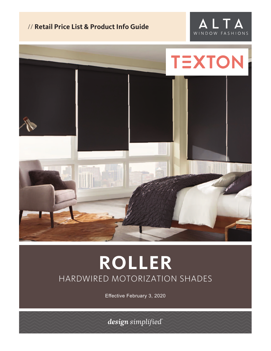# // **Retail Price List & Product Info Guide**





# **ROLLER** HARDWIRED MOTORIZATION SHADES

Effective February 3, 2020

design simplified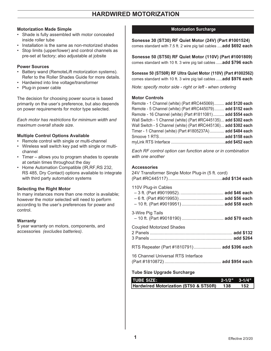### **HARDWIRED MOTORIZATION**

### **Motorization Made Simple**

- Shade is fully assembled with motor concealed inside roller tube
- Installation is the same as non-motorized shades
- Stop limits (upper/lower) and control channels as pre-set at factory; also adjustable at jobsite

### **Power Sources**

- Battery wand (RemoteLift motorization systems). Refer to the Roller Shades Guide for more details.
- Hardwired into line voltage/transformer
- Plug-in power cable

The decision for choosing power source is based primarily on the user's preference, but also depends on power requirements for motor type selected.

*Each motor has restrictions for minimum width and maximum overall shade size.* 

### **Multiple Control Options Available**

- Remote control with single or multi-channel
- Wireless wall switch key pad with single or multichannel
- Timer allows you to program shades to operate at certain times throughout the day
- Home Automation Compatible (IR,RF,RS 232, RS 485, Dry Contact) options available to integrate with third party automation systems

### **Selecting the Right Motor**

In many instances more than one motor is available; however the motor selected will need to perform according to the user's preferences for power and control.

### **Warranty**

5 year warranty on motors, components, and accessories *(excludes batteries)*.

### **Motorization Surcharge**

**Sonesse 30 (ST30) RF Quiet Motor (24V) (Part #1001524)** comes standard with 7.5 ft. 2 wire pig tail cables ....**add \$692 each**

**Sonesse 50 (ST50) RF Quiet Motor (110V) (Part #1001809)** comes standard with 10 ft. 3 wire pig tail cables .....**add \$796 each**

**Sonesse 50 (ST50R) RF Ultra Quiet Motor (110V) (Part #1002562)** comes standard with 10 ft. 3 wire pig tail cables .....**add \$976 each**

*Note: specify motor side - right or left - when ordering*

### **Motor Controls**

| Remote - 1 Channel (white) (Part #RC445069) add \$120 each      |  |
|-----------------------------------------------------------------|--|
| Remote - 5 Channel (white) (Part #RC445079) add \$152 each      |  |
| Remote - 16 Channel (white) (Part #1811081) add \$554 each      |  |
| Wall Switch - 1 Channel (white) (Part #RC445135) add \$302 each |  |
| Wall Switch - 5 Channel (white) (Part #RC445136) add \$302 each |  |
| Timer - 1 Channel (white) (Part #1805237A) add \$484 each       |  |
|                                                                 |  |
|                                                                 |  |

*Each RF control option can function alone or in combination with one another*

### **Accessories**

| 24V Transformer Single Motor Plug-in (5 ft. cord)              |  |
|----------------------------------------------------------------|--|
| 110V Plug-in Cables<br>- 10 ft. (Part #9019951)  add \$58 each |  |
| 3-Wire Pig Tails<br>- 10 ft. (Part #9018190)  add \$70 each    |  |
| <b>Coupled Motorized Shades</b>                                |  |
| RTS Repeater (Part #1810791) add \$396 each                    |  |
| 16 Channel Universal RTS Interface                             |  |

### **Tube Size Upgrade Surcharge**

| <b>TUBE SIZE:</b>                     | $2 - 1/2$ $3 - 1/4$ " |     |
|---------------------------------------|-----------------------|-----|
| Hardwired Motorization (ST50 & ST50R) | 138                   | 152 |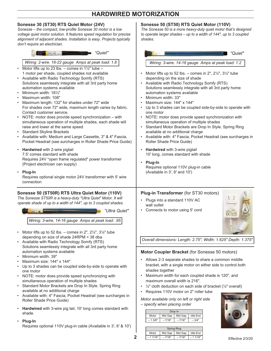### **HARDWIRED MOTORIZATION**

*shades.*

**Sonesse 50 (ST50) RTS Quiet Motor (110V)** 

*The Sonesse 50 is a more heavy-duty quiet motor that's designed to operate larger shades – up to a width of 144", up to 3 coupled*

### **Sonesse 30 (ST30) RTS Quiet Motor (24V)**

*Sonesse – the compact, low-profile Sonesse 30 motor is a low voltage quiet motor solution. It features speed regulation for precise alignment of adjacent shades. Installation is easy. Projects typically don't require an electrician.*



- Standard Motor Brackets are Drop In Style. Spring Ring available at no additional charge
- Available with: 4" Fascia, Pocket Headrail (see surcharges in Roller Shade Price Guide)
- **Hardwired** with 3-wire pig tail, 10' long comes standard with shade.
- **Plug-In**

Requires optional 110V plug-in cable (Available in 3', 6' & 10')

maximum overall width is 216".

- $\frac{1}{4}$ " cloth deduction on each side of bracket ( $\frac{1}{2}$ " overall)
- Requires 110V motor on 2" roller tube

*Motor available only on left or right side* 

*– specify when placing order* 

|        | Drop In |         |         |                 |  |  |
|--------|---------|---------|---------|-----------------|--|--|
| Motor  |         | Mid Gap | Mid Gap | <b>Idle End</b> |  |  |
| 1.3/8" |         | - 7/16" | - 7/16" | $-3/4"$         |  |  |
|        |         |         |         |                 |  |  |